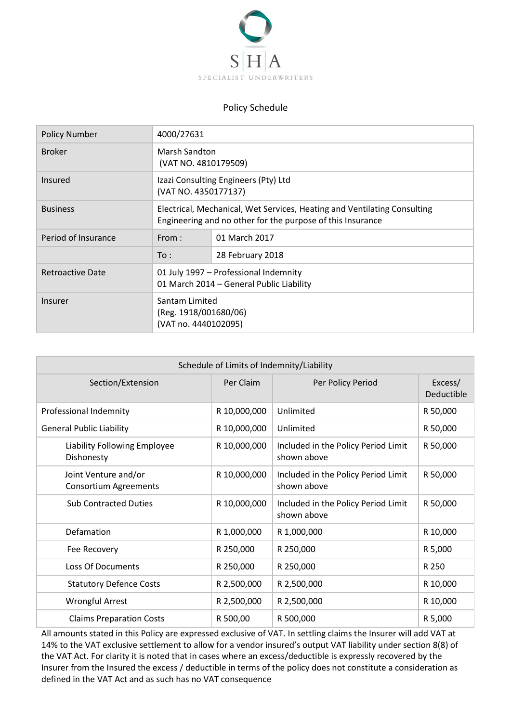

## Policy Schedule

| <b>Policy Number</b> | 4000/27631                                                                                                                             |                  |
|----------------------|----------------------------------------------------------------------------------------------------------------------------------------|------------------|
| <b>Broker</b>        | Marsh Sandton<br>(VAT NO. 4810179509)                                                                                                  |                  |
| Insured              | Izazi Consulting Engineers (Pty) Ltd<br>(VAT NO. 4350177137)                                                                           |                  |
| <b>Business</b>      | Electrical, Mechanical, Wet Services, Heating and Ventilating Consulting<br>Engineering and no other for the purpose of this Insurance |                  |
| Period of Insurance  | From:                                                                                                                                  | 01 March 2017    |
|                      | To:                                                                                                                                    | 28 February 2018 |
| Retroactive Date     | 01 July 1997 - Professional Indemnity<br>01 March 2014 - General Public Liability                                                      |                  |
| Insurer              | Santam Limited<br>(Reg. 1918/001680/06)<br>(VAT no. 4440102095)                                                                        |                  |

| Schedule of Limits of Indemnity/Liability            |              |                                                    |                       |  |  |
|------------------------------------------------------|--------------|----------------------------------------------------|-----------------------|--|--|
| Section/Extension                                    | Per Claim    | Per Policy Period                                  | Excess/<br>Deductible |  |  |
| Professional Indemnity                               | R 10,000,000 | Unlimited                                          | R 50,000              |  |  |
| <b>General Public Liability</b>                      | R 10,000,000 | Unlimited                                          | R 50,000              |  |  |
| Liability Following Employee<br>Dishonesty           | R 10,000,000 | Included in the Policy Period Limit<br>shown above | R 50,000              |  |  |
| Joint Venture and/or<br><b>Consortium Agreements</b> | R 10,000,000 | Included in the Policy Period Limit<br>shown above | R 50,000              |  |  |
| <b>Sub Contracted Duties</b>                         | R 10,000,000 | Included in the Policy Period Limit<br>shown above | R 50,000              |  |  |
| Defamation                                           | R 1,000,000  | R 1,000,000                                        | R 10,000              |  |  |
| Fee Recovery                                         | R 250,000    | R 250,000                                          | R 5,000               |  |  |
| <b>Loss Of Documents</b>                             | R 250,000    | R 250,000                                          | R 250                 |  |  |
| <b>Statutory Defence Costs</b>                       | R 2,500,000  | R 2,500,000                                        | R 10,000              |  |  |
| Wrongful Arrest                                      | R 2,500,000  | R 2,500,000                                        | R 10,000              |  |  |
| <b>Claims Preparation Costs</b>                      | R 500,00     | R 500,000                                          | R 5,000               |  |  |

All amounts stated in this Policy are expressed exclusive of VAT. In settling claims the Insurer will add VAT at 14% to the VAT exclusive settlement to allow for a vendor insured's output VAT liability under section 8(8) of the VAT Act. For clarity it is noted that in cases where an excess/deductible is expressly recovered by the Insurer from the Insured the excess / deductible in terms of the policy does not constitute a consideration as defined in the VAT Act and as such has no VAT consequence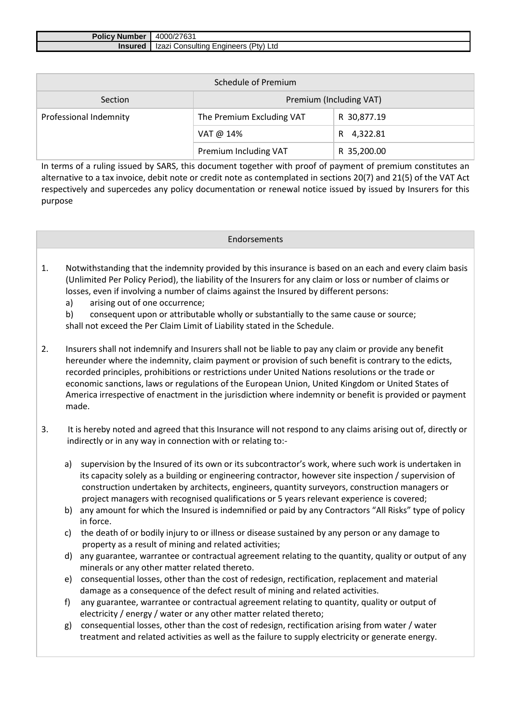| التنائي والمرادي<br><b>⊺Number</b><br>$\blacksquare$ rolic $\blacksquare$ | 4000/27631                                      |
|---------------------------------------------------------------------------|-------------------------------------------------|
| <b>Insured</b>                                                            | (Ptv)<br>:naïneers<br>zazı<br>Consulting<br>Ltc |

| Schedule of Premium    |                           |             |  |  |
|------------------------|---------------------------|-------------|--|--|
| Section                | Premium (Including VAT)   |             |  |  |
| Professional Indemnity | The Premium Excluding VAT | R 30,877.19 |  |  |
|                        | VAT @ 14%                 | R 4,322.81  |  |  |
|                        | Premium Including VAT     | R 35,200.00 |  |  |

In terms of a ruling issued by SARS, this document together with proof of payment of premium constitutes an alternative to a tax invoice, debit note or credit note as contemplated in sections 20(7) and 21(5) of the VAT Act respectively and supercedes any policy documentation or renewal notice issued by issued by Insurers for this purpose

- 1. Notwithstanding that the indemnity provided by this insurance is based on an each and every claim basis (Unlimited Per Policy Period), the liability of the Insurers for any claim or loss or number of claims or losses, even if involving a number of claims against the Insured by different persons:
	- a) arising out of one occurrence;

b) consequent upon or attributable wholly or substantially to the same cause or source; shall not exceed the Per Claim Limit of Liability stated in the Schedule.

- 2. Insurers shall not indemnify and Insurers shall not be liable to pay any claim or provide any benefit hereunder where the indemnity, claim payment or provision of such benefit is contrary to the edicts, recorded principles, prohibitions or restrictions under United Nations resolutions or the trade or economic sanctions, laws or regulations of the European Union, United Kingdom or United States of America irrespective of enactment in the jurisdiction where indemnity or benefit is provided or payment made.
- 3. It is hereby noted and agreed that this Insurance will not respond to any claims arising out of, directly or indirectly or in any way in connection with or relating to:
	- a) supervision by the Insured of its own or its subcontractor's work, where such work is undertaken in its capacity solely as a building or engineering contractor, however site inspection / supervision of construction undertaken by architects, engineers, quantity surveyors, construction managers or project managers with recognised qualifications or 5 years relevant experience is covered;
	- b) any amount for which the Insured is indemnified or paid by any Contractors "All Risks" type of policy in force.
	- c) the death of or bodily injury to or illness or disease sustained by any person or any damage to property as a result of mining and related activities;
	- d) any guarantee, warrantee or contractual agreement relating to the quantity, quality or output of any minerals or any other matter related thereto.
	- e) consequential losses, other than the cost of redesign, rectification, replacement and material damage as a consequence of the defect result of mining and related activities.
	- f) any guarantee, warrantee or contractual agreement relating to quantity, quality or output of electricity / energy / water or any other matter related thereto;
	- g) consequential losses, other than the cost of redesign, rectification arising from water / water treatment and related activities as well as the failure to supply electricity or generate energy.